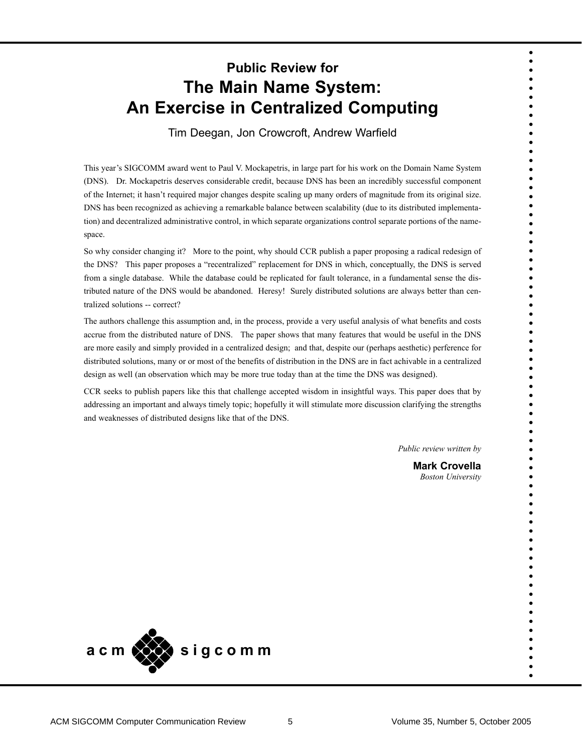# **Public Review for The Main Name System: An Exercise in Centralized Computing**

Tim Deegan, Jon Crowcroft, Andrew Warfield

This year's SIGCOMM award went to Paul V. Mockapetris, in large part for his work on the Domain Name System (DNS). Dr. Mockapetris deserves considerable credit, because DNS has been an incredibly successful component of the Internet; it hasn't required major changes despite scaling up many orders of magnitude from its original size. DNS has been recognized as achieving a remarkable balance between scalability (due to its distributed implementation) and decentralized administrative control, in which separate organizations control separate portions of the namespace.

So why consider changing it? More to the point, why should CCR publish a paper proposing a radical redesign of the DNS? This paper proposes a "recentralized" replacement for DNS in which, conceptually, the DNS is served from a single database. While the database could be replicated for fault tolerance, in a fundamental sense the distributed nature of the DNS would be abandoned. Heresy! Surely distributed solutions are always better than centralized solutions -- correct?

The authors challenge this assumption and, in the process, provide a very useful analysis of what benefits and costs accrue from the distributed nature of DNS. The paper shows that many features that would be useful in the DNS are more easily and simply provided in a centralized design; and that, despite our (perhaps aesthetic) perference for distributed solutions, many or or most of the benefits of distribution in the DNS are in fact achivable in a centralized design as well (an observation which may be more true today than at the time the DNS was designed).

CCR seeks to publish papers like this that challenge accepted wisdom in insightful ways. This paper does that by addressing an important and always timely topic; hopefully it will stimulate more discussion clarifying the strengths and weaknesses of distributed designs like that of the DNS.

*Public review written by*

**Mark Crovella** *Boston University*

• • • • • • • • • • • • • • • • • • • • • • • • • • • • • • • • • • • • • • • • • • • • • • • • • • • • • • • • • • • • • • • • • • • • • •

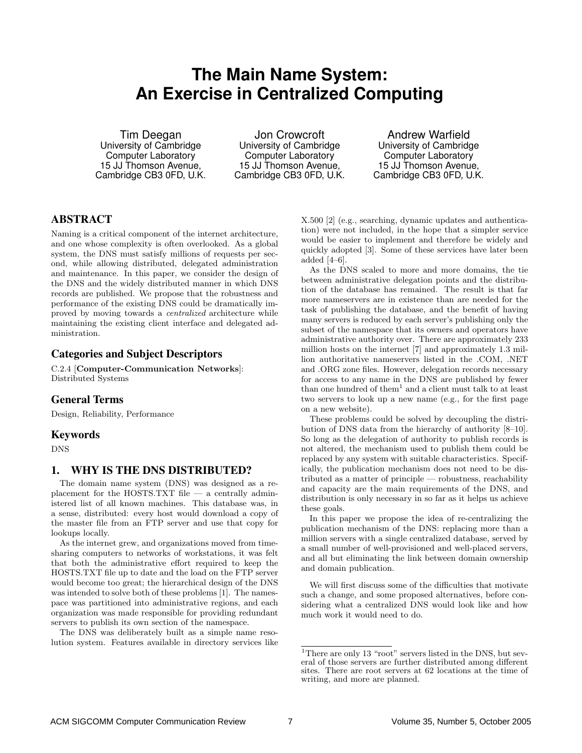# **The Main Name System: An Exercise in Centralized Computing**

Tim Deegan University of Cambridge Computer Laboratory 15 JJ Thomson Avenue, Cambridge CB3 0FD, U.K.

Jon Crowcroft University of Cambridge Computer Laboratory 15 JJ Thomson Avenue, Cambridge CB3 0FD, U.K.

Andrew Warfield University of Cambridge Computer Laboratory 15 JJ Thomson Avenue, Cambridge CB3 0FD, U.K.

# **ABSTRACT**

Naming is a critical component of the internet architecture, and one whose complexity is often overlooked. As a global system, the DNS must satisfy millions of requests per second, while allowing distributed, delegated administration and maintenance. In this paper, we consider the design of the DNS and the widely distributed manner in which DNS records are published. We propose that the robustness and performance of the existing DNS could be dramatically improved by moving towards a centralized architecture while maintaining the existing client interface and delegated administration.

# **Categories and Subject Descriptors**

C.2.4 [Computer-Communication Networks]: Distributed Systems

# **General Terms**

Design, Reliability, Performance

# **Keywords**

DNS

# **1. WHY IS THE DNS DISTRIBUTED?**

The domain name system (DNS) was designed as a replacement for the HOSTS.TXT file  $-$  a centrally administered list of all known machines. This database was, in a sense, distributed: every host would download a copy of the master file from an FTP server and use that copy for lookups locally.

As the internet grew, and organizations moved from timesharing computers to networks of workstations, it was felt that both the administrative effort required to keep the HOSTS.TXT file up to date and the load on the FTP server would become too great; the hierarchical design of the DNS was intended to solve both of these problems [1]. The namespace was partitioned into administrative regions, and each organization was made responsible for providing redundant servers to publish its own section of the namespace.

The DNS was deliberately built as a simple name resolution system. Features available in directory services like X.500 [2] (e.g., searching, dynamic updates and authentication) were not included, in the hope that a simpler service would be easier to implement and therefore be widely and quickly adopted [3]. Some of these services have later been added [4–6].

As the DNS scaled to more and more domains, the tie between administrative delegation points and the distribution of the database has remained. The result is that far more nameservers are in existence than are needed for the task of publishing the database, and the benefit of having many servers is reduced by each server's publishing only the subset of the namespace that its owners and operators have administrative authority over. There are approximately 233 million hosts on the internet [7] and approximately 1.3 million authoritative nameservers listed in the .COM, .NET and .ORG zone files. However, delegation records necessary for access to any name in the DNS are published by fewer than one hundred of them<sup>1</sup> and a client must talk to at least two servers to look up a new name (e.g., for the first page on a new website).

These problems could be solved by decoupling the distribution of DNS data from the hierarchy of authority [8–10]. So long as the delegation of authority to publish records is not altered, the mechanism used to publish them could be replaced by any system with suitable characteristics. Specifically, the publication mechanism does not need to be distributed as a matter of principle — robustness, reachability and capacity are the main requirements of the DNS, and distribution is only necessary in so far as it helps us achieve these goals.

In this paper we propose the idea of re-centralizing the publication mechanism of the DNS: replacing more than a million servers with a single centralized database, served by a small number of well-provisioned and well-placed servers, and all but eliminating the link between domain ownership and domain publication.

We will first discuss some of the difficulties that motivate such a change, and some proposed alternatives, before considering what a centralized DNS would look like and how much work it would need to do.

<sup>&</sup>lt;sup>1</sup>There are only 13 "root" servers listed in the DNS, but several of those servers are further distributed among different sites. There are root servers at 62 locations at the time of writing, and more are planned.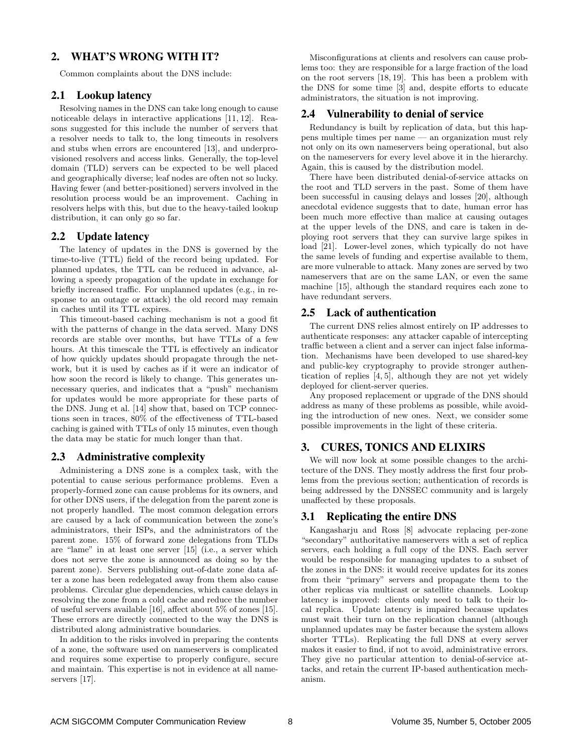# **2. WHAT'S WRONG WITH IT?**

Common complaints about the DNS include:

## **2.1 Lookup latency**

Resolving names in the DNS can take long enough to cause noticeable delays in interactive applications [11, 12]. Reasons suggested for this include the number of servers that a resolver needs to talk to, the long timeouts in resolvers and stubs when errors are encountered [13], and underprovisioned resolvers and access links. Generally, the top-level domain (TLD) servers can be expected to be well placed and geographically diverse; leaf nodes are often not so lucky. Having fewer (and better-positioned) servers involved in the resolution process would be an improvement. Caching in resolvers helps with this, but due to the heavy-tailed lookup distribution, it can only go so far.

# **2.2 Update latency**

The latency of updates in the DNS is governed by the time-to-live (TTL) field of the record being updated. For planned updates, the TTL can be reduced in advance, allowing a speedy propagation of the update in exchange for briefly increased traffic. For unplanned updates (e.g., in response to an outage or attack) the old record may remain in caches until its TTL expires.

This timeout-based caching mechanism is not a good fit with the patterns of change in the data served. Many DNS records are stable over months, but have TTLs of a few hours. At this timescale the TTL is effectively an indicator of how quickly updates should propagate through the network, but it is used by caches as if it were an indicator of how soon the record is likely to change. This generates unnecessary queries, and indicates that a "push" mechanism for updates would be more appropriate for these parts of the DNS. Jung et al. [14] show that, based on TCP connections seen in traces, 80% of the effectiveness of TTL-based caching is gained with TTLs of only 15 minutes, even though the data may be static for much longer than that.

#### **2.3 Administrative complexity**

Administering a DNS zone is a complex task, with the potential to cause serious performance problems. Even a properly-formed zone can cause problems for its owners, and for other DNS users, if the delegation from the parent zone is not properly handled. The most common delegation errors are caused by a lack of communication between the zone's administrators, their ISPs, and the administrators of the parent zone. 15% of forward zone delegations from TLDs are "lame" in at least one server [15] (i.e., a server which does not serve the zone is announced as doing so by the parent zone). Servers publishing out-of-date zone data after a zone has been redelegated away from them also cause problems. Circular glue dependencies, which cause delays in resolving the zone from a cold cache and reduce the number of useful servers available [16], affect about 5% of zones [15]. These errors are directly connected to the way the DNS is distributed along administrative boundaries.

In addition to the risks involved in preparing the contents of a zone, the software used on nameservers is complicated and requires some expertise to properly configure, secure and maintain. This expertise is not in evidence at all nameservers [17].

Misconfigurations at clients and resolvers can cause problems too: they are responsible for a large fraction of the load on the root servers [18, 19]. This has been a problem with the DNS for some time [3] and, despite efforts to educate administrators, the situation is not improving.

#### **2.4 Vulnerability to denial of service**

Redundancy is built by replication of data, but this happens multiple times per name — an organization must rely not only on its own nameservers being operational, but also on the nameservers for every level above it in the hierarchy. Again, this is caused by the distribution model.

There have been distributed denial-of-service attacks on the root and TLD servers in the past. Some of them have been successful in causing delays and losses [20], although anecdotal evidence suggests that to date, human error has been much more effective than malice at causing outages at the upper levels of the DNS, and care is taken in deploying root servers that they can survive large spikes in load [21]. Lower-level zones, which typically do not have the same levels of funding and expertise available to them, are more vulnerable to attack. Many zones are served by two nameservers that are on the same LAN, or even the same machine [15], although the standard requires each zone to have redundant servers.

#### **2.5 Lack of authentication**

The current DNS relies almost entirely on IP addresses to authenticate responses: any attacker capable of intercepting traffic between a client and a server can inject false information. Mechanisms have been developed to use shared-key and public-key cryptography to provide stronger authentication of replies [4, 5], although they are not yet widely deployed for client-server queries.

Any proposed replacement or upgrade of the DNS should address as many of these problems as possible, while avoiding the introduction of new ones. Next, we consider some possible improvements in the light of these criteria.

# **3. CURES, TONICS AND ELIXIRS**

We will now look at some possible changes to the architecture of the DNS. They mostly address the first four problems from the previous section; authentication of records is being addressed by the DNSSEC community and is largely unaffected by these proposals.

## **3.1 Replicating the entire DNS**

Kangasharju and Ross [8] advocate replacing per-zone "secondary" authoritative nameservers with a set of replica servers, each holding a full copy of the DNS. Each server would be responsible for managing updates to a subset of the zones in the DNS: it would receive updates for its zones from their "primary" servers and propagate them to the other replicas via multicast or satellite channels. Lookup latency is improved: clients only need to talk to their local replica. Update latency is impaired because updates must wait their turn on the replication channel (although unplanned updates may be faster because the system allows shorter TTLs). Replicating the full DNS at every server makes it easier to find, if not to avoid, administrative errors. They give no particular attention to denial-of-service attacks, and retain the current IP-based authentication mechanism.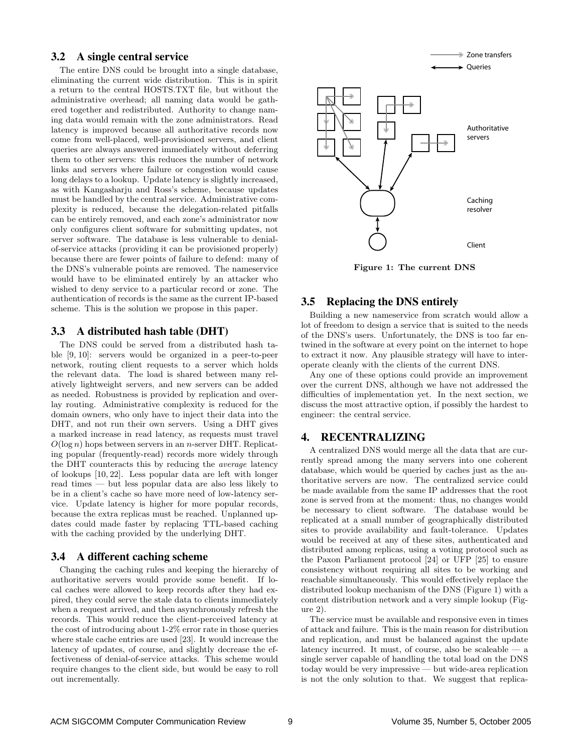#### **3.2 A single central service**

The entire DNS could be brought into a single database, eliminating the current wide distribution. This is in spirit a return to the central HOSTS.TXT file, but without the administrative overhead; all naming data would be gathered together and redistributed. Authority to change naming data would remain with the zone administrators. Read latency is improved because all authoritative records now come from well-placed, well-provisioned servers, and client queries are always answered immediately without deferring them to other servers: this reduces the number of network links and servers where failure or congestion would cause long delays to a lookup. Update latency is slightly increased, as with Kangasharju and Ross's scheme, because updates must be handled by the central service. Administrative complexity is reduced, because the delegation-related pitfalls can be entirely removed, and each zone's administrator now only configures client software for submitting updates, not server software. The database is less vulnerable to denialof-service attacks (providing it can be provisioned properly) because there are fewer points of failure to defend: many of the DNS's vulnerable points are removed. The nameservice would have to be eliminated entirely by an attacker who wished to deny service to a particular record or zone. The authentication of records is the same as the current IP-based scheme. This is the solution we propose in this paper.

# **3.3 A distributed hash table (DHT)**

The DNS could be served from a distributed hash table [9, 10]: servers would be organized in a peer-to-peer network, routing client requests to a server which holds the relevant data. The load is shared between many relatively lightweight servers, and new servers can be added as needed. Robustness is provided by replication and overlay routing. Administrative complexity is reduced for the domain owners, who only have to inject their data into the DHT, and not run their own servers. Using a DHT gives a marked increase in read latency, as requests must travel  $O(\log n)$  hops between servers in an *n*-server DHT. Replicating popular (frequently-read) records more widely through the DHT counteracts this by reducing the average latency of lookups [10, 22]. Less popular data are left with longer read times — but less popular data are also less likely to be in a client's cache so have more need of low-latency service. Update latency is higher for more popular records, because the extra replicas must be reached. Unplanned updates could made faster by replacing TTL-based caching with the caching provided by the underlying DHT.

#### **3.4 A different caching scheme**

Changing the caching rules and keeping the hierarchy of authoritative servers would provide some benefit. If local caches were allowed to keep records after they had expired, they could serve the stale data to clients immediately when a request arrived, and then asynchronously refresh the records. This would reduce the client-perceived latency at the cost of introducing about 1-2% error rate in those queries where stale cache entries are used [23]. It would increase the latency of updates, of course, and slightly decrease the effectiveness of denial-of-service attacks. This scheme would require changes to the client side, but would be easy to roll out incrementally.



Figure 1: The current DNS

#### **3.5 Replacing the DNS entirely**

Building a new nameservice from scratch would allow a lot of freedom to design a service that is suited to the needs of the DNS's users. Unfortunately, the DNS is too far entwined in the software at every point on the internet to hope to extract it now. Any plausible strategy will have to interoperate cleanly with the clients of the current DNS.

Any one of these options could provide an improvement over the current DNS, although we have not addressed the difficulties of implementation yet. In the next section, we discuss the most attractive option, if possibly the hardest to engineer: the central service.

# **4. RECENTRALIZING**

A centralized DNS would merge all the data that are currently spread among the many servers into one coherent database, which would be queried by caches just as the authoritative servers are now. The centralized service could be made available from the same IP addresses that the root zone is served from at the moment: thus, no changes would be necessary to client software. The database would be replicated at a small number of geographically distributed sites to provide availability and fault-tolerance. Updates would be received at any of these sites, authenticated and distributed among replicas, using a voting protocol such as the Paxon Parliament protocol [24] or UFP [25] to ensure consistency without requiring all sites to be working and reachable simultaneously. This would effectively replace the distributed lookup mechanism of the DNS (Figure 1) with a content distribution network and a very simple lookup (Figure 2).

The service must be available and responsive even in times of attack and failure. This is the main reason for distribution and replication, and must be balanced against the update latency incurred. It must, of course, also be scaleable — a single server capable of handling the total load on the DNS today would be very impressive — but wide-area replication is not the only solution to that. We suggest that replica-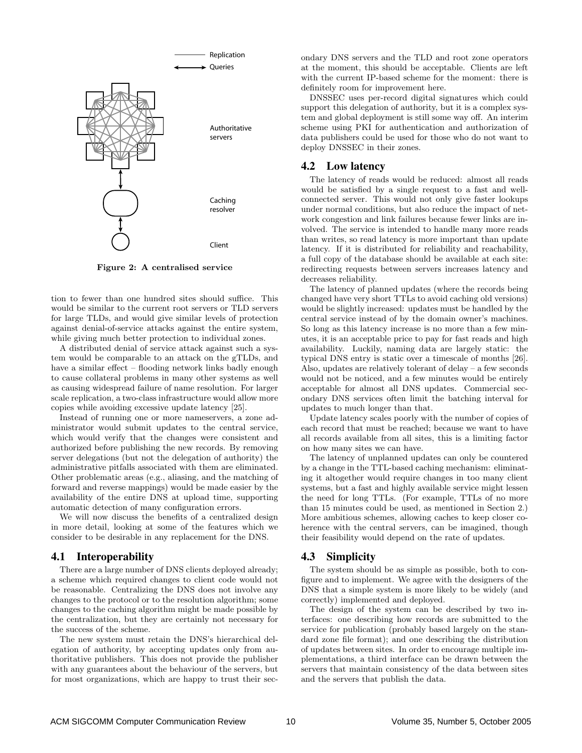

Figure 2: A centralised service

tion to fewer than one hundred sites should suffice. This would be similar to the current root servers or TLD servers for large TLDs, and would give similar levels of protection against denial-of-service attacks against the entire system, while giving much better protection to individual zones.

A distributed denial of service attack against such a system would be comparable to an attack on the gTLDs, and have a similar effect – flooding network links badly enough to cause collateral problems in many other systems as well as causing widespread failure of name resolution. For larger scale replication, a two-class infrastructure would allow more copies while avoiding excessive update latency [25].

Instead of running one or more nameservers, a zone administrator would submit updates to the central service, which would verify that the changes were consistent and authorized before publishing the new records. By removing server delegations (but not the delegation of authority) the administrative pitfalls associated with them are eliminated. Other problematic areas (e.g., aliasing, and the matching of forward and reverse mappings) would be made easier by the availability of the entire DNS at upload time, supporting automatic detection of many configuration errors.

We will now discuss the benefits of a centralized design in more detail, looking at some of the features which we consider to be desirable in any replacement for the DNS.

#### **4.1 Interoperability**

There are a large number of DNS clients deployed already; a scheme which required changes to client code would not be reasonable. Centralizing the DNS does not involve any changes to the protocol or to the resolution algorithm; some changes to the caching algorithm might be made possible by the centralization, but they are certainly not necessary for the success of the scheme.

The new system must retain the DNS's hierarchical delegation of authority, by accepting updates only from authoritative publishers. This does not provide the publisher with any guarantees about the behaviour of the servers, but for most organizations, which are happy to trust their secondary DNS servers and the TLD and root zone operators at the moment, this should be acceptable. Clients are left with the current IP-based scheme for the moment: there is definitely room for improvement here.

DNSSEC uses per-record digital signatures which could support this delegation of authority, but it is a complex system and global deployment is still some way off. An interim scheme using PKI for authentication and authorization of data publishers could be used for those who do not want to deploy DNSSEC in their zones.

#### **4.2 Low latency**

The latency of reads would be reduced: almost all reads would be satisfied by a single request to a fast and wellconnected server. This would not only give faster lookups under normal conditions, but also reduce the impact of network congestion and link failures because fewer links are involved. The service is intended to handle many more reads than writes, so read latency is more important than update latency. If it is distributed for reliability and reachability, a full copy of the database should be available at each site: redirecting requests between servers increases latency and decreases reliability.

The latency of planned updates (where the records being changed have very short TTLs to avoid caching old versions) would be slightly increased: updates must be handled by the central service instead of by the domain owner's machines. So long as this latency increase is no more than a few minutes, it is an acceptable price to pay for fast reads and high availability. Luckily, naming data are largely static: the typical DNS entry is static over a timescale of months [26]. Also, updates are relatively tolerant of delay – a few seconds would not be noticed, and a few minutes would be entirely acceptable for almost all DNS updates. Commercial secondary DNS services often limit the batching interval for updates to much longer than that.

Update latency scales poorly with the number of copies of each record that must be reached; because we want to have all records available from all sites, this is a limiting factor on how many sites we can have.

The latency of unplanned updates can only be countered by a change in the TTL-based caching mechanism: eliminating it altogether would require changes in too many client systems, but a fast and highly available service might lessen the need for long TTLs. (For example, TTLs of no more than 15 minutes could be used, as mentioned in Section 2.) More ambitious schemes, allowing caches to keep closer coherence with the central servers, can be imagined, though their feasibility would depend on the rate of updates.

# **4.3 Simplicity**

The system should be as simple as possible, both to configure and to implement. We agree with the designers of the DNS that a simple system is more likely to be widely (and correctly) implemented and deployed.

The design of the system can be described by two interfaces: one describing how records are submitted to the service for publication (probably based largely on the standard zone file format); and one describing the distribution of updates between sites. In order to encourage multiple implementations, a third interface can be drawn between the servers that maintain consistency of the data between sites and the servers that publish the data.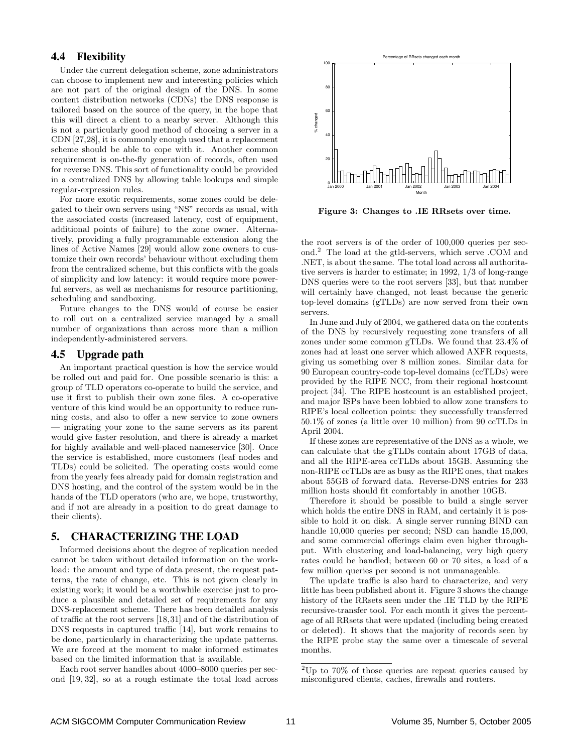# **4.4 Flexibility**

Under the current delegation scheme, zone administrators can choose to implement new and interesting policies which are not part of the original design of the DNS. In some content distribution networks (CDNs) the DNS response is tailored based on the source of the query, in the hope that this will direct a client to a nearby server. Although this is not a particularly good method of choosing a server in a CDN [27,28], it is commonly enough used that a replacement scheme should be able to cope with it. Another common requirement is on-the-fly generation of records, often used for reverse DNS. This sort of functionality could be provided in a centralized DNS by allowing table lookups and simple regular-expression rules.

For more exotic requirements, some zones could be delegated to their own servers using "NS" records as usual, with the associated costs (increased latency, cost of equipment, additional points of failure) to the zone owner. Alternatively, providing a fully programmable extension along the lines of Active Names [29] would allow zone owners to customize their own records' behaviour without excluding them from the centralized scheme, but this conflicts with the goals of simplicity and low latency: it would require more powerful servers, as well as mechanisms for resource partitioning, scheduling and sandboxing.

Future changes to the DNS would of course be easier to roll out on a centralized service managed by a small number of organizations than across more than a million independently-administered servers.

## **4.5 Upgrade path**

An important practical question is how the service would be rolled out and paid for. One possible scenario is this: a group of TLD operators co-operate to build the service, and use it first to publish their own zone files. A co-operative venture of this kind would be an opportunity to reduce running costs, and also to offer a new service to zone owners — migrating your zone to the same servers as its parent would give faster resolution, and there is already a market for highly available and well-placed nameservice [30]. Once the service is established, more customers (leaf nodes and TLDs) could be solicited. The operating costs would come from the yearly fees already paid for domain registration and DNS hosting, and the control of the system would be in the hands of the TLD operators (who are, we hope, trustworthy, and if not are already in a position to do great damage to their clients).

#### **5. CHARACTERIZING THE LOAD**

Informed decisions about the degree of replication needed cannot be taken without detailed information on the workload: the amount and type of data present, the request patterns, the rate of change, etc. This is not given clearly in existing work; it would be a worthwhile exercise just to produce a plausible and detailed set of requirements for any DNS-replacement scheme. There has been detailed analysis of traffic at the root servers [18,31] and of the distribution of DNS requests in captured traffic [14], but work remains to be done, particularly in characterizing the update patterns. We are forced at the moment to make informed estimates based on the limited information that is available.

Each root server handles about 4000–8000 queries per second [19, 32], so at a rough estimate the total load across



Figure 3: Changes to .IE RRsets over time.

the root servers is of the order of 100,000 queries per second.<sup>2</sup> The load at the gtld-servers, which serve .COM and .NET, is about the same. The total load across all authoritative servers is harder to estimate; in 1992, 1/3 of long-range DNS queries were to the root servers [33], but that number will certainly have changed, not least because the generic top-level domains (gTLDs) are now served from their own servers.

In June and July of 2004, we gathered data on the contents of the DNS by recursively requesting zone transfers of all zones under some common gTLDs. We found that 23.4% of zones had at least one server which allowed AXFR requests, giving us something over 8 million zones. Similar data for 90 European country-code top-level domains (ccTLDs) were provided by the RIPE NCC, from their regional hostcount project [34]. The RIPE hostcount is an established project, and major ISPs have been lobbied to allow zone transfers to RIPE's local collection points: they successfully transferred 50.1% of zones (a little over 10 million) from 90 ccTLDs in April 2004.

If these zones are representative of the DNS as a whole, we can calculate that the gTLDs contain about 17GB of data, and all the RIPE-area ccTLDs about 15GB. Assuming the non-RIPE ccTLDs are as busy as the RIPE ones, that makes about 55GB of forward data. Reverse-DNS entries for 233 million hosts should fit comfortably in another 10GB.

Therefore it should be possible to build a single server which holds the entire DNS in RAM, and certainly it is possible to hold it on disk. A single server running BIND can handle 10,000 queries per second; NSD can handle 15,000, and some commercial offerings claim even higher throughput. With clustering and load-balancing, very high query rates could be handled; between 60 or 70 sites, a load of a few million queries per second is not unmanageable.

The update traffic is also hard to characterize, and very little has been published about it. Figure 3 shows the change history of the RRsets seen under the .IE TLD by the RIPE recursive-transfer tool. For each month it gives the percentage of all RRsets that were updated (including being created or deleted). It shows that the majority of records seen by the RIPE probe stay the same over a timescale of several months.

 $2^2$ Up to 70% of those queries are repeat queries caused by misconfigured clients, caches, firewalls and routers.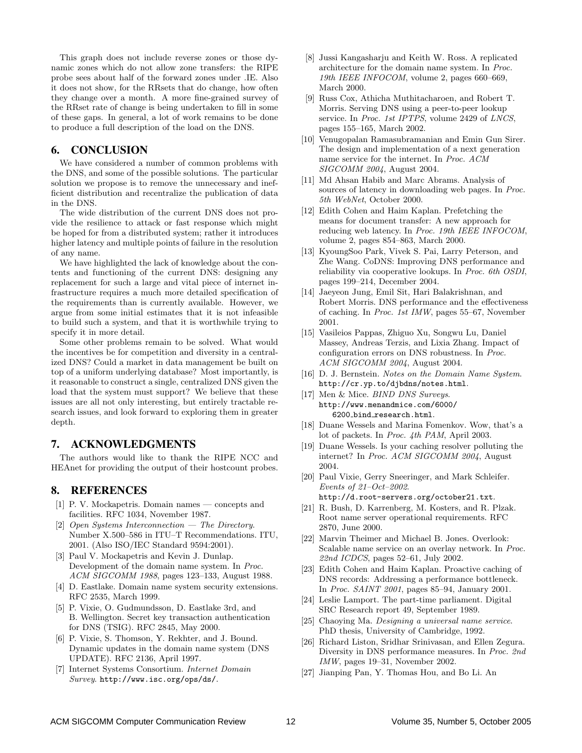This graph does not include reverse zones or those dynamic zones which do not allow zone transfers: the RIPE probe sees about half of the forward zones under .IE. Also it does not show, for the RRsets that do change, how often they change over a month. A more fine-grained survey of the RRset rate of change is being undertaken to fill in some of these gaps. In general, a lot of work remains to be done to produce a full description of the load on the DNS.

## **6. CONCLUSION**

We have considered a number of common problems with the DNS, and some of the possible solutions. The particular solution we propose is to remove the unnecessary and inefficient distribution and recentralize the publication of data in the DNS.

The wide distribution of the current DNS does not provide the resilience to attack or fast response which might be hoped for from a distributed system; rather it introduces higher latency and multiple points of failure in the resolution of any name.

We have highlighted the lack of knowledge about the contents and functioning of the current DNS: designing any replacement for such a large and vital piece of internet infrastructure requires a much more detailed specification of the requirements than is currently available. However, we argue from some initial estimates that it is not infeasible to build such a system, and that it is worthwhile trying to specify it in more detail.

Some other problems remain to be solved. What would the incentives be for competition and diversity in a centralized DNS? Could a market in data management be built on top of a uniform underlying database? Most importantly, is it reasonable to construct a single, centralized DNS given the load that the system must support? We believe that these issues are all not only interesting, but entirely tractable research issues, and look forward to exploring them in greater depth.

#### **7. ACKNOWLEDGMENTS**

The authors would like to thank the RIPE NCC and HEAnet for providing the output of their hostcount probes.

#### **8. REFERENCES**

- [1] P. V. Mockapetris. Domain names concepts and facilities. RFC 1034, November 1987.
- [2] Open Systems Interconnection The Directory. Number X.500–586 in ITU–T Recommendations. ITU, 2001. (Also ISO/IEC Standard 9594:2001).
- [3] Paul V. Mockapetris and Kevin J. Dunlap. Development of the domain name system. In Proc. ACM SIGCOMM 1988, pages 123–133, August 1988.
- [4] D. Eastlake. Domain name system security extensions. RFC 2535, March 1999.
- [5] P. Vixie, O. Gudmundsson, D. Eastlake 3rd, and B. Wellington. Secret key transaction authentication for DNS (TSIG). RFC 2845, May 2000.
- [6] P. Vixie, S. Thomson, Y. Rekhter, and J. Bound. Dynamic updates in the domain name system (DNS UPDATE). RFC 2136, April 1997.
- [7] Internet Systems Consortium. Internet Domain Survey. http://www.isc.org/ops/ds/.
- [8] Jussi Kangasharju and Keith W. Ross. A replicated architecture for the domain name system. In Proc. 19th IEEE INFOCOM, volume 2, pages 660–669, March 2000.
- [9] Russ Cox, Athicha Muthitacharoen, and Robert T. Morris. Serving DNS using a peer-to-peer lookup service. In Proc. 1st IPTPS, volume 2429 of LNCS, pages 155–165, March 2002.
- [10] Venugopalan Ramasubramanian and Emin Gun Sirer. The design and implementation of a next generation name service for the internet. In Proc. ACM SIGCOMM 2004, August 2004.
- [11] Md Ahsan Habib and Marc Abrams. Analysis of sources of latency in downloading web pages. In Proc. 5th WebNet, October 2000.
- [12] Edith Cohen and Haim Kaplan. Prefetching the means for document transfer: A new approach for reducing web latency. In Proc. 19th IEEE INFOCOM, volume 2, pages 854–863, March 2000.
- [13] KyoungSoo Park, Vivek S. Pai, Larry Peterson, and Zhe Wang. CoDNS: Improving DNS performance and reliability via cooperative lookups. In Proc. 6th OSDI, pages 199–214, December 2004.
- [14] Jaeyeon Jung, Emil Sit, Hari Balakrishnan, and Robert Morris. DNS performance and the effectiveness of caching. In Proc. 1st IMW, pages 55–67, November 2001.
- [15] Vasileios Pappas, Zhiguo Xu, Songwu Lu, Daniel Massey, Andreas Terzis, and Lixia Zhang. Impact of configuration errors on DNS robustness. In Proc. ACM SIGCOMM 2004, August 2004.
- [16] D. J. Bernstein. Notes on the Domain Name System. http://cr.yp.to/djbdns/notes.html.
- [17] Men & Mice. *BIND DNS Surveys.* http://www.menandmice.com/6000/ 6200 bind research.html.
- [18] Duane Wessels and Marina Fomenkov. Wow, that's a lot of packets. In Proc. 4th PAM, April 2003.
- [19] Duane Wessels. Is your caching resolver polluting the internet? In Proc. ACM SIGCOMM 2004, August 2004.
- [20] Paul Vixie, Gerry Sneeringer, and Mark Schleifer. Events of 21–Oct–2002. http://d.root-servers.org/october21.txt.
- [21] R. Bush, D. Karrenberg, M. Kosters, and R. Plzak. Root name server operational requirements. RFC 2870, June 2000.
- [22] Marvin Theimer and Michael B. Jones. Overlook: Scalable name service on an overlay network. In Proc. 22nd ICDCS, pages 52–61, July 2002.
- [23] Edith Cohen and Haim Kaplan. Proactive caching of DNS records: Addressing a performance bottleneck. In Proc. SAINT 2001, pages 85–94, January 2001.
- [24] Leslie Lamport. The part-time parliament. Digital SRC Research report 49, September 1989.
- [25] Chaoying Ma. Designing a universal name service. PhD thesis, University of Cambridge, 1992.
- [26] Richard Liston, Sridhar Srinivasan, and Ellen Zegura. Diversity in DNS performance measures. In Proc. 2nd IMW, pages 19–31, November 2002.
- [27] Jianping Pan, Y. Thomas Hou, and Bo Li. An